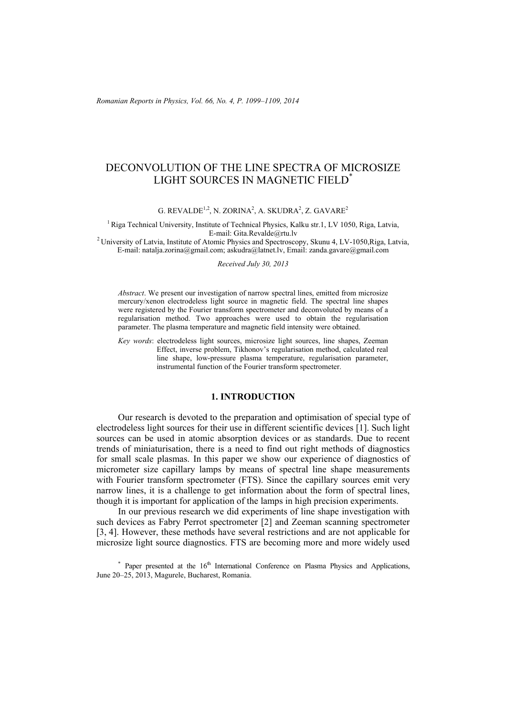*Romanian Reports in Physics, Vol. 66, No. 4, P. 1099–1109, 2014*

# DECONVOLUTION OF THE LINE SPECTRA OF MICROSIZE LIGHT SOURCES IN MAGNETIC FIELD\*

G. REVALDE<sup>1,2</sup>, N. ZORINA<sup>2</sup>, A. SKUDRA<sup>2</sup>, Z. GAVARE<sup>2</sup>

 $1$  Riga Technical University, Institute of Technical Physics, Kalku str.1, LV 1050, Riga, Latvia,

E-mail: Gita.Revalde@rtu.lv 2 University of Latvia, Institute of Atomic Physics and Spectroscopy, Skunu 4, LV-1050,Riga, Latvia, E-mail: natalja.zorina@gmail.com; askudra@latnet.lv, Email: zanda.gavare@gmail.com

*Received July 30, 2013* 

*Abstract*. We present our investigation of narrow spectral lines, emitted from microsize mercury/xenon electrodeless light source in magnetic field. The spectral line shapes were registered by the Fourier transform spectrometer and deconvoluted by means of a regularisation method. Two approaches were used to obtain the regularisation parameter. The plasma temperature and magnetic field intensity were obtained.

*Key words*: electrodeless light sources, microsize light sources, line shapes, Zeeman Effect, inverse problem, Tikhonov's regularisation method, calculated real line shape, low-pressure plasma temperature, regularisation parameter, instrumental function of the Fourier transform spectrometer.

### **1. INTRODUCTION**

Our research is devoted to the preparation and optimisation of special type of electrodeless light sources for their use in different scientific devices [1]. Such light sources can be used in atomic absorption devices or as standards. Due to recent trends of miniaturisation, there is a need to find out right methods of diagnostics for small scale plasmas. In this paper we show our experience of diagnostics of micrometer size capillary lamps by means of spectral line shape measurements with Fourier transform spectrometer (FTS). Since the capillary sources emit very narrow lines, it is a challenge to get information about the form of spectral lines, though it is important for application of the lamps in high precision experiments.

In our previous research we did experiments of line shape investigation with such devices as Fabry Perrot spectrometer [2] and Zeeman scanning spectrometer [3, 4]. However, these methods have several restrictions and are not applicable for microsize light source diagnostics. FTS are becoming more and more widely used

\* Paper presented at the 16<sup>th</sup> International Conference on Plasma Physics and Applications, June 20–25, 2013, Magurele, Bucharest, Romania.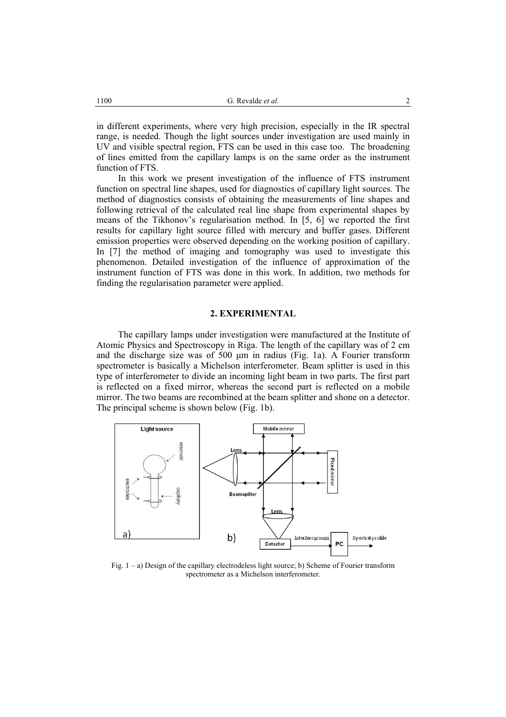in different experiments, where very high precision, especially in the IR spectral range, is needed. Though the light sources under investigation are used mainly in UV and visible spectral region, FTS can be used in this case too. The broadening of lines emitted from the capillary lamps is on the same order as the instrument function of FTS.

In this work we present investigation of the influence of FTS instrument function on spectral line shapes, used for diagnostics of capillary light sources. The method of diagnostics consists of obtaining the measurements of line shapes and following retrieval of the calculated real line shape from experimental shapes by means of the Tikhonov's regularisation method. In [5, 6] we reported the first results for capillary light source filled with mercury and buffer gases. Different emission properties were observed depending on the working position of capillary. In [7] the method of imaging and tomography was used to investigate this phenomenon. Detailed investigation of the influence of approximation of the instrument function of FTS was done in this work. In addition, two methods for finding the regularisation parameter were applied.

#### **2. EXPERIMENTAL**

 The capillary lamps under investigation were manufactured at the Institute of Atomic Physics and Spectroscopy in Riga. The length of the capillary was of 2 cm and the discharge size was of 500  $\mu$ m in radius (Fig. 1a). A Fourier transform spectrometer is basically a Michelson interferometer. Beam splitter is used in this type of interferometer to divide an incoming light beam in two parts. The first part is reflected on a fixed mirror, whereas the second part is reflected on a mobile mirror. The two beams are recombined at the beam splitter and shone on a detector. The principal scheme is shown below (Fig. 1b).



Fig. 1 – a) Design of the capillary electrodeless light source; b) Scheme of Fourier transform spectrometer as a Michelson interferometer.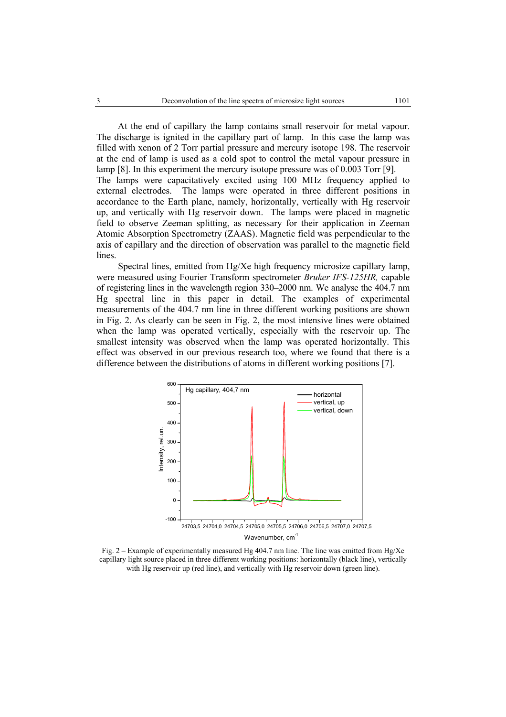At the end of capillary the lamp contains small reservoir for metal vapour. The discharge is ignited in the capillary part of lamp. In this case the lamp was filled with xenon of 2 Torr partial pressure and mercury isotope 198. The reservoir at the end of lamp is used as a cold spot to control the metal vapour pressure in lamp [8]. In this experiment the mercury isotope pressure was of 0.003 Torr [9]. The lamps were capacitatively excited using 100 MHz frequency applied to external electrodes. The lamps were operated in three different positions in accordance to the Earth plane, namely, horizontally, vertically with Hg reservoir up, and vertically with Hg reservoir down. The lamps were placed in magnetic field to observe Zeeman splitting, as necessary for their application in Zeeman Atomic Absorption Spectrometry (ZAAS). Magnetic field was perpendicular to the axis of capillary and the direction of observation was parallel to the magnetic field lines.

 Spectral lines, emitted from Hg/Xe high frequency microsize capillary lamp, were measured using Fourier Transform spectrometer *Bruker IFS-125HR,* capable of registering lines in the wavelength region 330–2000 nm. We analyse the 404.7 nm Hg spectral line in this paper in detail. The examples of experimental measurements of the 404.7 nm line in three different working positions are shown in Fig. 2. As clearly can be seen in Fig. 2, the most intensive lines were obtained when the lamp was operated vertically, especially with the reservoir up. The smallest intensity was observed when the lamp was operated horizontally. This effect was observed in our previous research too, where we found that there is a difference between the distributions of atoms in different working positions [7].



Fig. 2 – Example of experimentally measured Hg 404.7 nm line. The line was emitted from Hg/Xe capillary light source placed in three different working positions: horizontally (black line), vertically with Hg reservoir up (red line), and vertically with Hg reservoir down (green line).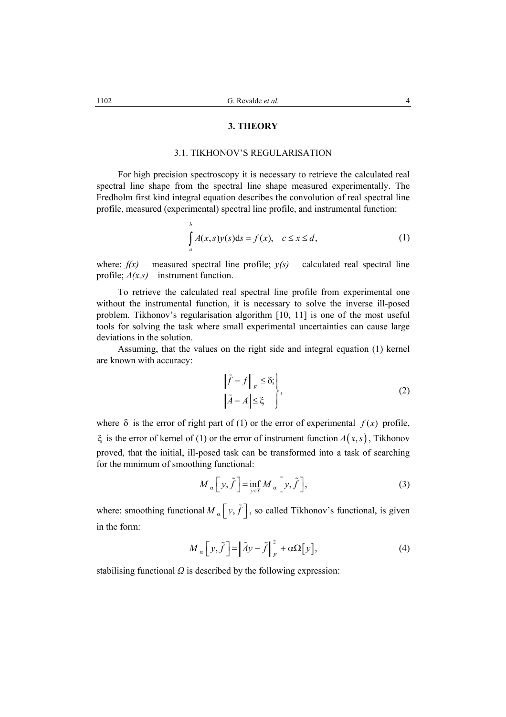### **3. THEORY**

### 3.1. TIKHONOV'S REGULARISATION

For high precision spectroscopy it is necessary to retrieve the calculated real spectral line shape from the spectral line shape measured experimentally. The Fredholm first kind integral equation describes the convolution of real spectral line profile, measured (experimental) spectral line profile, and instrumental function:

$$
\int_{a}^{b} A(x, s)y(s)ds = f(x), \quad c \le x \le d,
$$
\n(1)

where:  $f(x)$  – measured spectral line profile;  $y(s)$  – calculated real spectral line profile;  $A(x, s)$  – instrument function.

To retrieve the calculated real spectral line profile from experimental one without the instrumental function, it is necessary to solve the inverse ill-posed problem. Tikhonov's regularisation algorithm [10, 11] is one of the most useful tools for solving the task where small experimental uncertainties can cause large deviations in the solution.

Assuming, that the values on the right side and integral equation (1) kernel are known with accuracy:

$$
\left\| \tilde{f} - f \right\|_F \le \delta; \left\| \tilde{A} - A \right\| \le \xi \tag{2}
$$

where  $\delta$  is the error of right part of (1) or the error of experimental  $f(x)$  profile, ξ is the error of kernel of (1) or the error of instrument function  $A(x, s)$ , Tikhonov proved, that the initial, ill-posed task can be transformed into a task of searching for the minimum of smoothing functional:

$$
M_{\alpha}\left[y,\tilde{f}\right] = \inf_{y \in Y} M_{\alpha}\left[y,\tilde{f}\right],\tag{3}
$$

where: smoothing functional  $M_{\alpha} [y, \tilde{f}]$ , so called Tikhonov's functional, is given in the form:

$$
M_{\alpha}\left[y,\tilde{f}\right] = \left\|\tilde{A}y - \tilde{f}\right\|_{F}^{2} + \alpha\Omega\left[y\right],\tag{4}
$$

stabilising functional *Ω* is described by the following expression: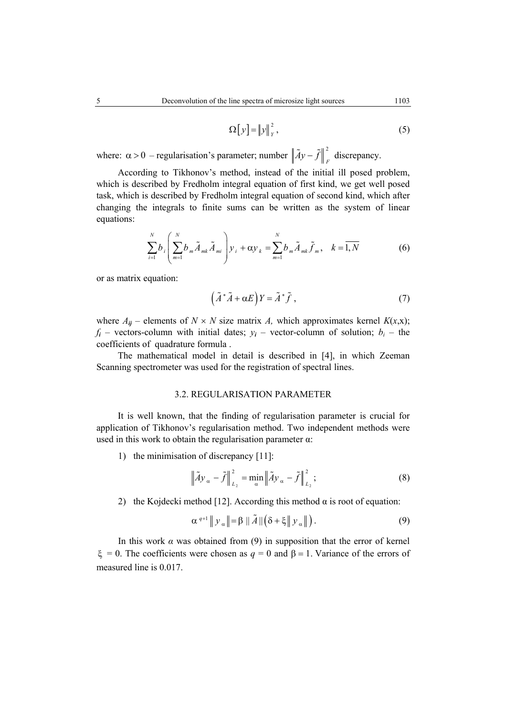$$
\Omega[y] = ||y||_Y^2,\tag{5}
$$

where:  $\alpha > 0$  – regularisation's parameter; number  $\left\| \tilde{A}y - \tilde{f} \right\|_F^2$  discrepancy.

According to Tikhonov's method, instead of the initial ill posed problem, which is described by Fredholm integral equation of first kind, we get well posed task, which is described by Fredholm integral equation of second kind, which after changing the integrals to finite sums can be written as the system of linear equations:

$$
\sum_{i=1}^{N} b_{i} \left( \sum_{m=1}^{N} b_{m} \tilde{A}_{mk} \tilde{A}_{mi} \right) y_{i} + \alpha y_{k} = \sum_{m=1}^{N} b_{m} \tilde{A}_{mk} \tilde{f}_{m}, \quad k = \overline{1, N}
$$
 (6)

or as matrix equation:

$$
(\tilde{A}^* \tilde{A} + \alpha E) Y = \tilde{A}^* \tilde{f}, \qquad (7)
$$

where  $A_{ij}$  – elements of  $N \times N$  size matrix A, which approximates kernel  $K(x,x)$ ;  $f_i$  – vectors-column with initial dates;  $y_i$  – vector-column of solution;  $b_i$  – the coefficients of quadrature formula .

The mathematical model in detail is described in [4], in which Zeeman Scanning spectrometer was used for the registration of spectral lines.

#### 3.2. REGULARISATION PARAMETER

It is well known, that the finding of regularisation parameter is crucial for application of Tikhonov's regularisation method. Two independent methods were used in this work to obtain the regularisation parameter  $\alpha$ :

1) the minimisation of discrepancy [11]:

$$
\left\| \tilde{A} \mathbf{y}_{\alpha} - \tilde{f} \right\|_{L_2}^2 = \min_{\alpha} \left\| \tilde{A} \mathbf{y}_{\alpha} - \tilde{f} \right\|_{L_2}^2; \tag{8}
$$

2) the Kojdecki method [12]. According this method  $\alpha$  is root of equation:

$$
\alpha^{q+1} \| y_{\alpha} \| = \beta \| \tilde{A} \| (\delta + \xi \| y_{\alpha} \|).
$$
 (9)

In this work  $\alpha$  was obtained from (9) in supposition that the error of kernel ξ = 0. The coefficients were chosen as  $q = 0$  and  $β = 1$ . Variance of the errors of measured line is 0.017.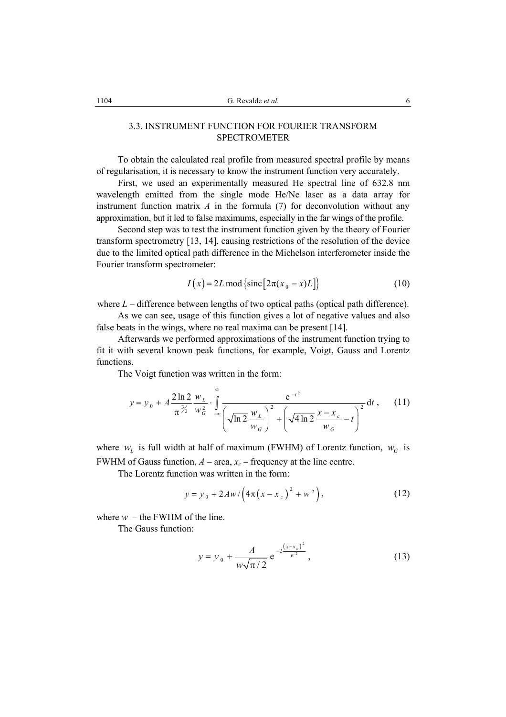## 3.3. INSTRUMENT FUNCTION FOR FOURIER TRANSFORM SPECTROMETER

To obtain the calculated real profile from measured spectral profile by means of regularisation, it is necessary to know the instrument function very accurately.

First, we used an experimentally measured He spectral line of 632.8 nm wavelength emitted from the single mode He/Ne laser as a data array for instrument function matrix *A* in the formula (7) for deconvolution without any approximation, but it led to false maximums, especially in the far wings of the profile.

Second step was to test the instrument function given by the theory of Fourier transform spectrometry [13, 14], causing restrictions of the resolution of the device due to the limited optical path difference in the Michelson interferometer inside the Fourier transform spectrometer:

$$
I(x) = 2L \mod \{\text{sinc}\left[2\pi(x_0 - x)L\right]\}\tag{10}
$$

where  $L$  – difference between lengths of two optical paths (optical path difference).

As we can see, usage of this function gives a lot of negative values and also false beats in the wings, where no real maxima can be present [14].

Afterwards we performed approximations of the instrument function trying to fit it with several known peak functions, for example, Voigt, Gauss and Lorentz functions.

The Voigt function was written in the form:

$$
y = y_0 + A \frac{2 \ln 2}{\pi^{\frac{3}{2}}} \frac{w_L}{w_G^2} \cdot \int_{-\infty}^{\infty} \frac{e^{-t^2}}{\left(\sqrt{\ln 2} \frac{w_L}{w_G}\right)^2 + \left(\sqrt{4 \ln 2} \frac{x - x_c}{w_G} - t\right)^2} dt , \quad (11)
$$

where  $w_L$  is full width at half of maximum (FWHM) of Lorentz function,  $w_G$  is FWHM of Gauss function,  $A$  – area,  $x_c$  – frequency at the line centre.

The Lorentz function was written in the form:

$$
y = y_0 + 2Aw/\left(4\pi\left(x - x_c\right)^2 + w^2\right),\tag{12}
$$

where  $w$  – the FWHM of the line.

The Gauss function:

$$
y = y_0 + \frac{A}{w\sqrt{\pi/2}} e^{-2\frac{(x-x_c)^2}{w^2}},
$$
 (13)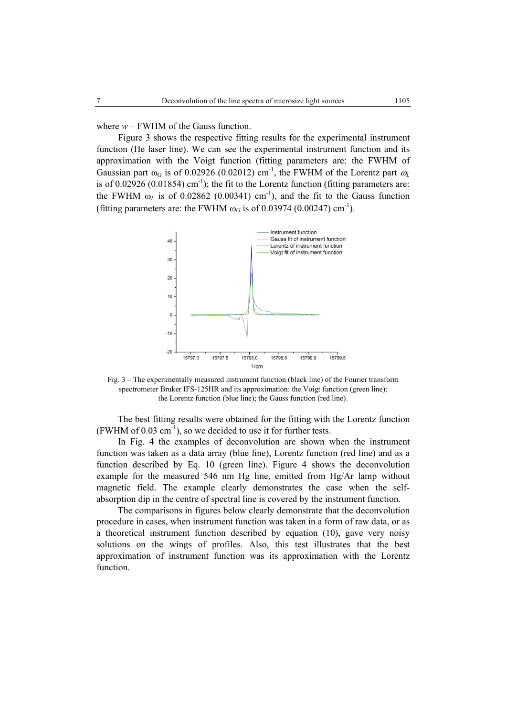where  $w$  – FWHM of the Gauss function.

 Figure 3 shows the respective fitting results for the experimental instrument function (He laser line). We can see the experimental instrument function and its approximation with the Voigt function (fitting parameters are: the FWHM of Gaussian part  $\omega_G$  is of 0.02926 (0.02012) cm<sup>-1</sup>, the FWHM of the Lorentz part  $\omega_L$ is of  $0.02926$  (0.01854) cm<sup>-1</sup>); the fit to the Lorentz function (fitting parameters are: the FWHM  $\omega_L$  is of 0.02862 (0.00341) cm<sup>-1</sup>), and the fit to the Gauss function (fitting parameters are: the FWHM  $\omega_G$  is of 0.03974 (0.00247) cm<sup>-1</sup>).



Fig. 3 – The experimentally measured instrument function (black line) of the Fourier transform spectrometer Bruker IFS-125HR and its approximation: the Voigt function (green line); the Lorentz function (blue line); the Gauss function (red line).

The best fitting results were obtained for the fitting with the Lorentz function  $(FWHM of 0.03 cm<sup>-1</sup>)$ , so we decided to use it for further tests.

In Fig. 4 the examples of deconvolution are shown when the instrument function was taken as a data array (blue line), Lorentz function (red line) and as a function described by Eq. 10 (green line). Figure 4 shows the deconvolution example for the measured 546 nm Hg line, emitted from Hg/Ar lamp without magnetic field. The example clearly demonstrates the case when the selfabsorption dip in the centre of spectral line is covered by the instrument function.

The comparisons in figures below clearly demonstrate that the deconvolution procedure in cases, when instrument function was taken in a form of raw data, or as a theoretical instrument function described by equation (10), gave very noisy solutions on the wings of profiles. Also, this test illustrates that the best approximation of instrument function was its approximation with the Lorentz function.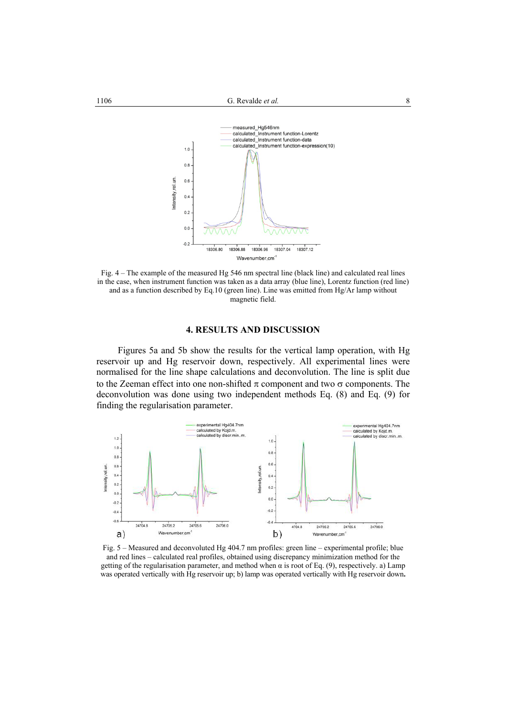1106 **et al. example 1106 et al. 8** 



Fig. 4 – The example of the measured Hg 546 nm spectral line (black line) and calculated real lines in the case, when instrument function was taken as a data array (blue line), Lorentz function (red line) and as a function described by Eq.10 (green line). Line was emitted from Hg/Ar lamp without magnetic field.

#### **4. RESULTS AND DISCUSSION**

Figures 5a and 5b show the results for the vertical lamp operation, with Hg reservoir up and Hg reservoir down, respectively. All experimental lines were normalised for the line shape calculations and deconvolution. The line is split due to the Zeeman effect into one non-shifted  $\pi$  component and two  $\sigma$  components. The deconvolution was done using two independent methods Eq. (8) and Eq. (9) for finding the regularisation parameter.



Fig. 5 – Measured and deconvoluted Hg 404.7 nm profiles: green line – experimental profile; blue and red lines – calculated real profiles, obtained using discrepancy minimization method for the getting of the regularisation parameter, and method when  $\alpha$  is root of Eq. (9), respectively. a) Lamp was operated vertically with Hg reservoir up; b) lamp was operated vertically with Hg reservoir down**.**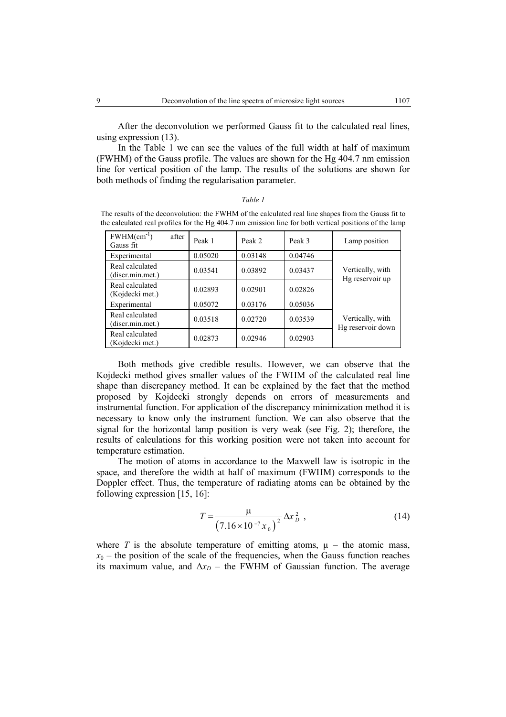After the deconvolution we performed Gauss fit to the calculated real lines, using expression (13).

 In the Table 1 we can see the values of the full width at half of maximum (FWHM) of the Gauss profile. The values are shown for the Hg 404.7 nm emission line for vertical position of the lamp. The results of the solutions are shown for both methods of finding the regularisation parameter.

|--|--|--|

The results of the deconvolution: the FWHM of the calculated real line shapes from the Gauss fit to the calculated real profiles for the Hg 404.7 nm emission line for both vertical positions of the lamp

| $FWHM(cm^{-1})$<br>after<br>Gauss fit | Peak 1  | Peak 2  | Peak 3  | Lamp position                         |
|---------------------------------------|---------|---------|---------|---------------------------------------|
| Experimental                          | 0.05020 | 0.03148 | 0.04746 |                                       |
| Real calculated<br>(discr.min.met.)   | 0.03541 | 0.03892 | 0.03437 | Vertically, with<br>Hg reservoir up   |
| Real calculated<br>(Kojdecki met.)    | 0.02893 | 0.02901 | 0.02826 |                                       |
| Experimental                          | 0.05072 | 0.03176 | 0.05036 |                                       |
| Real calculated<br>(discr.min.met.)   | 0.03518 | 0.02720 | 0.03539 | Vertically, with<br>Hg reservoir down |
| Real calculated<br>(Kojdecki met.)    | 0.02873 | 0.02946 | 0.02903 |                                       |

Both methods give credible results. However, we can observe that the Kojdecki method gives smaller values of the FWHM of the calculated real line shape than discrepancy method. It can be explained by the fact that the method proposed by Kojdecki strongly depends on errors of measurements and instrumental function. For application of the discrepancy minimization method it is necessary to know only the instrument function. We can also observe that the signal for the horizontal lamp position is very weak (see Fig. 2); therefore, the results of calculations for this working position were not taken into account for temperature estimation.

The motion of atoms in accordance to the Maxwell law is isotropic in the space, and therefore the width at half of maximum (FWHM) corresponds to the Doppler effect. Thus, the temperature of radiating atoms can be obtained by the following expression [15, 16]:

$$
T = \frac{\mu}{(7.16 \times 10^{-7} x_0)^2} \Delta x_b^2
$$
, (14)

where *T* is the absolute temperature of emitting atoms,  $\mu$  – the atomic mass,  $x_0$  – the position of the scale of the frequencies, when the Gauss function reaches its maximum value, and  $\Delta x_D$  – the FWHM of Gaussian function. The average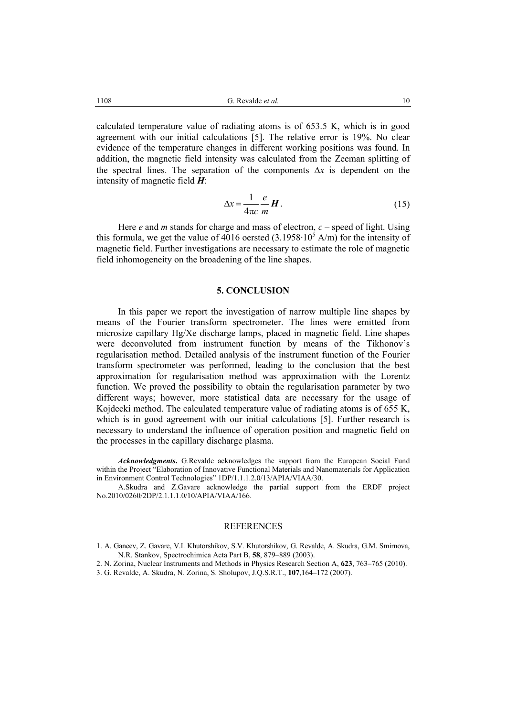calculated temperature value of radiating atoms is of 653.5 K, which is in good agreement with our initial calculations [5]. The relative error is 19%. No clear evidence of the temperature changes in different working positions was found. In addition, the magnetic field intensity was calculated from the Zeeman splitting of the spectral lines. The separation of the components ∆*x* is dependent on the intensity of magnetic field *H*:

$$
\Delta x = \frac{1}{4\pi c} \frac{e}{m} H.
$$
 (15)

 Here *e* and *m* stands for charge and mass of electron, *c* – speed of light. Using this formula, we get the value of 4016 oersted  $(3.1958 \cdot 10^5 \text{ A/m})$  for the intensity of magnetic field. Further investigations are necessary to estimate the role of magnetic field inhomogeneity on the broadening of the line shapes.

### **5. CONCLUSION**

In this paper we report the investigation of narrow multiple line shapes by means of the Fourier transform spectrometer. The lines were emitted from microsize capillary Hg/Xe discharge lamps, placed in magnetic field. Line shapes were deconvoluted from instrument function by means of the Tikhonov's regularisation method. Detailed analysis of the instrument function of the Fourier transform spectrometer was performed, leading to the conclusion that the best approximation for regularisation method was approximation with the Lorentz function. We proved the possibility to obtain the regularisation parameter by two different ways; however, more statistical data are necessary for the usage of Kojdecki method. The calculated temperature value of radiating atoms is of 655 K, which is in good agreement with our initial calculations [5]. Further research is necessary to understand the influence of operation position and magnetic field on the processes in the capillary discharge plasma.

 *Acknowledgments***.** G.Revalde acknowledges the support from the European Social Fund within the Project "Elaboration of Innovative Functional Materials and Nanomaterials for Application in Environment Control Technologies" 1DP/1.1.1.2.0/13/APIA/VIAA/30.

 A.Skudra and Z.Gavare acknowledge the partial support from the ERDF project No.2010/0260/2DP/2.1.1.1.0/10/APIA/VIAA/166.

#### **REFERENCES**

- 1. A. Ganeev, Z. Gavare, V.I. Khutorshikov, S.V. Khutorshikov, G. Revalde, A. Skudra, G.M. Smirnova, N.R. Stankov, Spectrochimica Acta Part B, **58**, 879–889 (2003).
- 2. N. Zorina, Nuclear Instruments and Methods in Physics Research Section A, **623**, 763–765 (2010).
- 3. G. Revalde, A. Skudra, N. Zorina, S. Sholupov, J.Q.S.R.T., **107**,164–172 (2007).